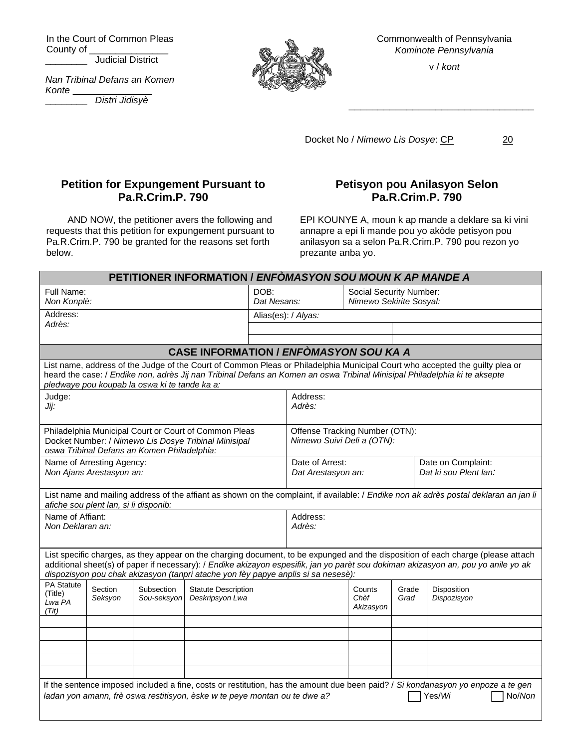In the Court of Common Pleas County of \_ \_\_\_\_\_\_\_\_ Judicial District

*Nan Tribinal Defans an Komen Konte* \_\_\_\_\_\_\_\_\_\_\_\_\_\_\_

\_\_\_\_\_\_\_\_ *Distri Jidisyè*



Commonwealth of Pennsylvania *Kominote Pennsylvania*

v / *kont*

\_\_\_\_\_\_\_\_\_\_\_\_\_\_\_\_\_\_\_\_\_\_\_\_\_\_\_\_\_\_\_\_

Docket No / Nimewo Lis Dosye: CP 20

## **Petition for Expungement Pursuant to Pa.R.Crim.P. 790**

AND NOW, the petitioner avers the following and requests that this petition for expungement pursuant to Pa.R.Crim.P. 790 be granted for the reasons set forth below.

## **Petisyon pou Anilasyon Selon Pa.R.Crim.P. 790**

EPI KOUNYE A, moun k ap mande a deklare sa ki vini annapre a epi li mande pou yo akòde petisyon pou anilasyon sa a selon Pa.R.Crim.P. 790 pou rezon yo prezante anba yo.

| PETITIONER INFORMATION / ENFÓMASYON SOU MOUN K AP MANDE A                                                                                                                                                                                                                                                                                                   |                                                                                                  |  |  |                     |                                                              |                                                    |               |                                             |
|-------------------------------------------------------------------------------------------------------------------------------------------------------------------------------------------------------------------------------------------------------------------------------------------------------------------------------------------------------------|--------------------------------------------------------------------------------------------------|--|--|---------------------|--------------------------------------------------------------|----------------------------------------------------|---------------|---------------------------------------------|
| Full Name:<br>Non Konplè:                                                                                                                                                                                                                                                                                                                                   |                                                                                                  |  |  | DOB:<br>Dat Nesans: |                                                              | Social Security Number:<br>Nimewo Sekirite Sosyal: |               |                                             |
| Address:                                                                                                                                                                                                                                                                                                                                                    |                                                                                                  |  |  | Alias(es): / Alyas: |                                                              |                                                    |               |                                             |
| Adrès:                                                                                                                                                                                                                                                                                                                                                      |                                                                                                  |  |  |                     |                                                              |                                                    |               |                                             |
|                                                                                                                                                                                                                                                                                                                                                             |                                                                                                  |  |  |                     |                                                              |                                                    |               |                                             |
| <b>CASE INFORMATION / ENFOMASYON SOU KA A</b>                                                                                                                                                                                                                                                                                                               |                                                                                                  |  |  |                     |                                                              |                                                    |               |                                             |
| List name, address of the Judge of the Court of Common Pleas or Philadelphia Municipal Court who accepted the guilty plea or<br>heard the case: / Endike non, adrès Jij nan Tribinal Defans an Komen an oswa Tribinal Minisipal Philadelphia ki te aksepte<br>pledwaye pou koupab la oswa ki te tande ka a:                                                 |                                                                                                  |  |  |                     |                                                              |                                                    |               |                                             |
| Judge:<br>Jij:                                                                                                                                                                                                                                                                                                                                              |                                                                                                  |  |  |                     | Address:<br>Adrès:                                           |                                                    |               |                                             |
| Philadelphia Municipal Court or Court of Common Pleas<br>Docket Number: / Nimewo Lis Dosye Tribinal Minisipal<br>oswa Tribinal Defans an Komen Philadelphia:                                                                                                                                                                                                |                                                                                                  |  |  |                     | Offense Tracking Number (OTN):<br>Nimewo Suivi Deli a (OTN): |                                                    |               |                                             |
| Name of Arresting Agency:<br>Non Ajans Arestasyon an:                                                                                                                                                                                                                                                                                                       |                                                                                                  |  |  |                     | Date of Arrest:<br>Dat Arestasyon an:                        |                                                    |               | Date on Complaint:<br>Dat ki sou Plent lan: |
| List name and mailing address of the affiant as shown on the complaint, if available: / Endike non ak adrès postal deklaran an jan li<br>afiche sou plent lan, si li disponib:                                                                                                                                                                              |                                                                                                  |  |  |                     |                                                              |                                                    |               |                                             |
| Name of Affiant:<br>Non Deklaran an:                                                                                                                                                                                                                                                                                                                        |                                                                                                  |  |  |                     | Address:<br>Adrès:                                           |                                                    |               |                                             |
| List specific charges, as they appear on the charging document, to be expunged and the disposition of each charge (please attach<br>additional sheet(s) of paper if necessary): / Endike akizayon espesifik, jan yo parèt sou dokiman akizasyon an, pou yo anile yo ak<br>dispozisyon pou chak akizasyon (tanpri atache yon fèy papye anplis si sa nesesè): |                                                                                                  |  |  |                     |                                                              |                                                    |               |                                             |
| PA Statute<br>(Title)<br>Lwa PA<br>(Tit)                                                                                                                                                                                                                                                                                                                    | Section<br>Subsection<br><b>Statute Description</b><br>Deskripsyon Lwa<br>Seksyon<br>Sou-seksyon |  |  |                     |                                                              | Counts<br>Chèf<br>Akizasyon                        | Grade<br>Grad | Disposition<br>Dispozisyon                  |
|                                                                                                                                                                                                                                                                                                                                                             |                                                                                                  |  |  |                     |                                                              |                                                    |               |                                             |
|                                                                                                                                                                                                                                                                                                                                                             |                                                                                                  |  |  |                     |                                                              |                                                    |               |                                             |
|                                                                                                                                                                                                                                                                                                                                                             |                                                                                                  |  |  |                     |                                                              |                                                    |               |                                             |
|                                                                                                                                                                                                                                                                                                                                                             |                                                                                                  |  |  |                     |                                                              |                                                    |               |                                             |
|                                                                                                                                                                                                                                                                                                                                                             |                                                                                                  |  |  |                     |                                                              |                                                    |               |                                             |
| If the sentence imposed included a fine, costs or restitution, has the amount due been paid? / Si kondanasyon yo enpoze a te gen<br>ladan yon amann, frè oswa restitisyon, èske w te peye montan ou te dwe a?<br>No/Non<br>Yes/Wi                                                                                                                           |                                                                                                  |  |  |                     |                                                              |                                                    |               |                                             |